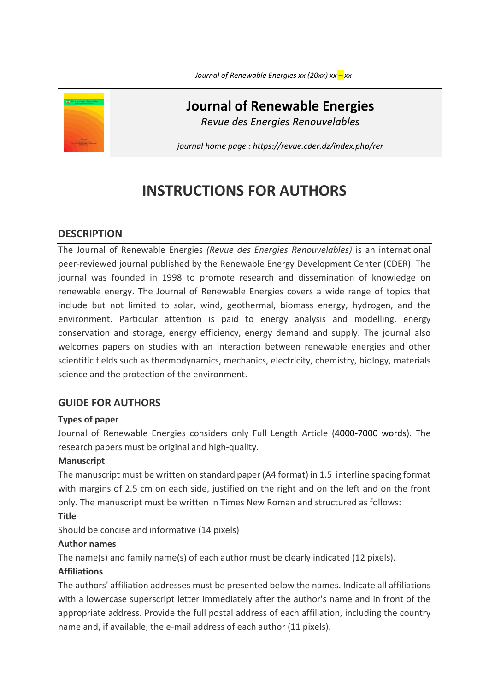

# **Journal of Renewable Energies** *Revue des Energies Renouvelables*

*journal home page : https://revue.cder.dz/index.php/rer*

# **INSTRUCTIONS FOR AUTHORS**

# **DESCRIPTION**

The Journal of Renewable Energies *(Revue des Energies Renouvelables)* is an international peer-reviewed journal published by the Renewable Energy Development Center (CDER). The journal was founded in 1998 to promote research and dissemination of knowledge on renewable energy. The Journal of Renewable Energies covers a wide range of topics that include but not limited to solar, wind, geothermal, biomass energy, hydrogen, and the environment. Particular attention is paid to energy analysis and modelling, energy conservation and storage, energy efficiency, energy demand and supply. The journal also welcomes papers on studies with an interaction between renewable energies and other scientific fields such as thermodynamics, mechanics, electricity, chemistry, biology, materials science and the protection of the environment.

# **GUIDE FOR AUTHORS**

#### **Types of paper**

Journal of Renewable Energies considers only Full Length Article (4000-7000 words). The research papers must be original and high-quality.

#### **Manuscript**

The manuscript must be written on standard paper (A4 format) in 1.5 interline spacing format with margins of 2.5 cm on each side, justified on the right and on the left and on the front only. The manuscript must be written in Times New Roman and structured as follows:

#### **Title**

Should be concise and informative (14 pixels)

#### **Author names**

The name(s) and family name(s) of each author must be clearly indicated (12 pixels).

#### **Affiliations**

The authors' affiliation addresses must be presented below the names. Indicate all affiliations with a lowercase superscript letter immediately after the author's name and in front of the appropriate address. Provide the full postal address of each affiliation, including the country name and, if available, the e-mail address of each author (11 pixels).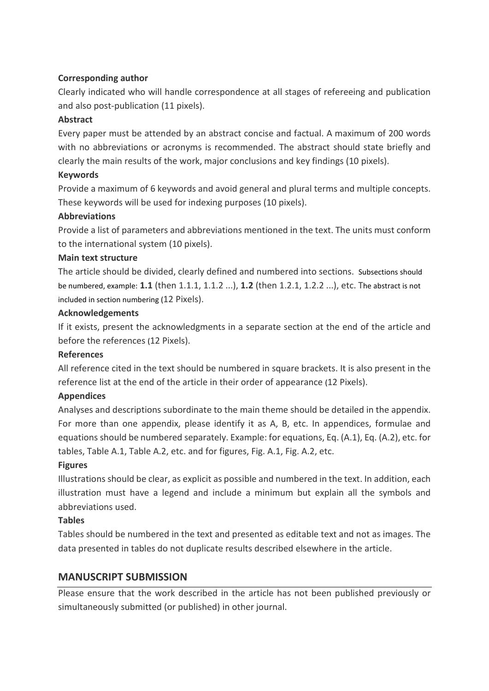## **Corresponding author**

Clearly indicated who will handle correspondence at all stages of refereeing and publication and also post-publication (11 pixels).

## **Abstract**

Every paper must be attended by an abstract concise and factual. A maximum of 200 words with no abbreviations or acronyms is recommended. The abstract should state briefly and clearly the main results of the work, major conclusions and key findings (10 pixels).

#### **Keywords**

Provide a maximum of 6 keywords and avoid general and plural terms and multiple concepts. These keywords will be used for indexing purposes (10 pixels).

#### **Abbreviations**

Provide a list of parameters and abbreviations mentioned in the text. The units must conform to the international system (10 pixels).

#### **Main text structure**

The article should be divided, clearly defined and numbered into sections. Subsections should be numbered, example: **1.1** (then 1.1.1, 1.1.2 ...), **1.2** (then 1.2.1, 1.2.2 ...), etc. The abstract is not included in section numbering (12 Pixels).

## **Acknowledgements**

If it exists, present the acknowledgments in a separate section at the end of the article and before the references (12 Pixels).

# **References**

All reference cited in the text should be numbered in square brackets. It is also present in the reference list at the end of the article in their order of appearance (12 Pixels).

# **Appendices**

Analyses and descriptions subordinate to the main theme should be detailed in the appendix. For more than one appendix, please identify it as A, B, etc. In appendices, formulae and equations should be numbered separately. Example: for equations, Eq. (A.1), Eq. (A.2), etc. for tables, Table A.1, Table A.2, etc. and for figures, Fig. A.1, Fig. A.2, etc.

# **Figures**

Illustrations should be clear, as explicit as possible and numbered in the text. In addition, each illustration must have a legend and include a minimum but explain all the symbols and abbreviations used.

# **Tables**

Tables should be numbered in the text and presented as editable text and not as images. The data presented in tables do not duplicate results described elsewhere in the article.

# **MANUSCRIPT SUBMISSION**

Please ensure that the work described in the article has not been published previously or simultaneously submitted (or published) in other journal.